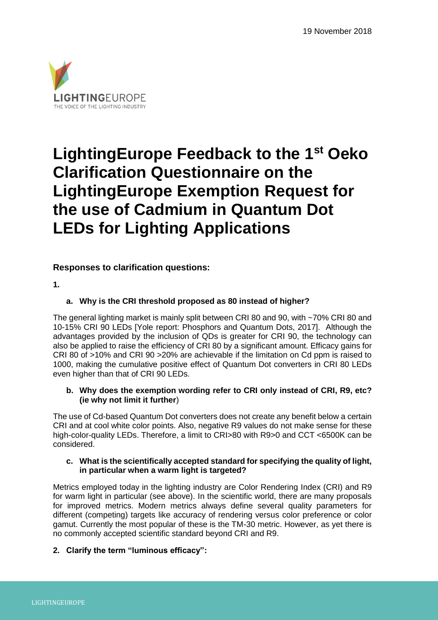

# **LightingEurope Feedback to the 1st Oeko Clarification Questionnaire on the LightingEurope Exemption Request for the use of Cadmium in Quantum Dot LEDs for Lighting Applications**

# **Responses to clarification questions:**

**1.**

# **a. Why is the CRI threshold proposed as 80 instead of higher?**

The general lighting market is mainly split between CRI 80 and 90, with ~70% CRI 80 and 10-15% CRI 90 LEDs [Yole report: Phosphors and Quantum Dots, 2017]. Although the advantages provided by the inclusion of QDs is greater for CRI 90, the technology can also be applied to raise the efficiency of CRI 80 by a significant amount. Efficacy gains for CRI 80 of >10% and CRI 90 >20% are achievable if the limitation on Cd ppm is raised to 1000, making the cumulative positive effect of Quantum Dot converters in CRI 80 LEDs even higher than that of CRI 90 LEDs.

# **b. Why does the exemption wording refer to CRI only instead of CRI, R9, etc? (ie why not limit it further**)

The use of Cd-based Quantum Dot converters does not create any benefit below a certain CRI and at cool white color points. Also, negative R9 values do not make sense for these high-color-quality LEDs. Therefore, a limit to CRI>80 with R9>0 and CCT <6500K can be considered.

# **c. What is the scientifically accepted standard for specifying the quality of light, in particular when a warm light is targeted?**

Metrics employed today in the lighting industry are Color Rendering Index (CRI) and R9 for warm light in particular (see above). In the scientific world, there are many proposals for improved metrics. Modern metrics always define several quality parameters for different (competing) targets like accuracy of rendering versus color preference or color gamut. Currently the most popular of these is the TM-30 metric. However, as yet there is no commonly accepted scientific standard beyond CRI and R9.

# **2. Clarify the term "luminous efficacy":**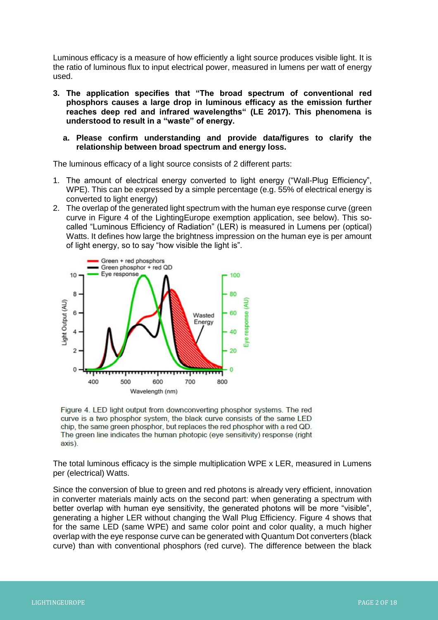Luminous efficacy is a measure of how efficiently a light source produces visible light. It is the ratio of luminous flux to input electrical power, measured in lumens per watt of energy used.

- **3. The application specifies that "The broad spectrum of conventional red phosphors causes a large drop in luminous efficacy as the emission further reaches deep red and infrared wavelengths" (LE 2017). This phenomena is understood to result in a "waste" of energy.** 
	- **a. Please confirm understanding and provide data/figures to clarify the relationship between broad spectrum and energy loss.**

The luminous efficacy of a light source consists of 2 different parts:

- 1. The amount of electrical energy converted to light energy ("Wall-Plug Efficiency", WPE). This can be expressed by a simple percentage (e.g. 55% of electrical energy is converted to light energy)
- 2. The overlap of the generated light spectrum with the human eye response curve (green curve in Figure 4 of the LightingEurope exemption application, see below). This socalled "Luminous Efficiency of Radiation" (LER) is measured in Lumens per (optical) Watts. It defines how large the brightness impression on the human eye is per amount of light energy, so to say "how visible the light is".





The total luminous efficacy is the simple multiplication WPE x LER, measured in Lumens per (electrical) Watts.

Since the conversion of blue to green and red photons is already very efficient, innovation in converter materials mainly acts on the second part: when generating a spectrum with better overlap with human eye sensitivity, the generated photons will be more "visible", generating a higher LER without changing the Wall Plug Efficiency. Figure 4 shows that for the same LED (same WPE) and same color point and color quality, a much higher overlap with the eye response curve can be generated with Quantum Dot converters (black curve) than with conventional phosphors (red curve). The difference between the black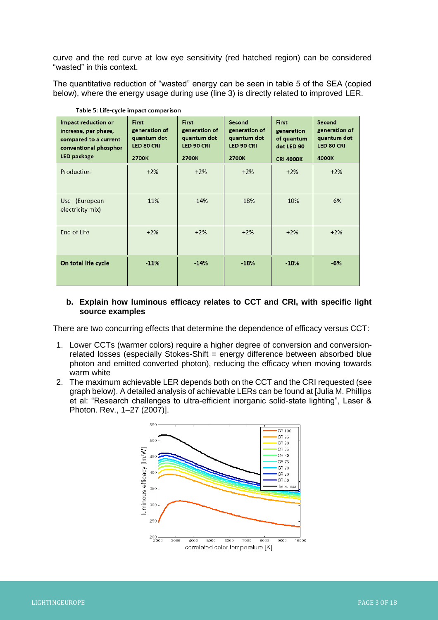curve and the red curve at low eye sensitivity (red hatched region) can be considered "wasted" in this context.

The quantitative reduction of "wasted" energy can be seen in table 5 of the SEA (copied below), where the energy usage during use (line 3) is directly related to improved LER.

| Impact reduction or<br>increase, per phase,<br>compared to a current<br>conventional phosphor<br>LED package | First<br>generation of<br>quantum dot<br><b>LED 80 CRI</b><br>2700K | First<br>generation of<br>quantum dot<br>LED 90 CRI<br>2700K | Second<br>generation of<br>quantum dot<br>LED 90 CRI<br>2700K | First<br>generation<br>of quantum<br>dot LED 90<br><b>CRI 4000K</b> | Second<br>generation of<br>quantum dot<br><b>LED 80 CRI</b><br>4000K |
|--------------------------------------------------------------------------------------------------------------|---------------------------------------------------------------------|--------------------------------------------------------------|---------------------------------------------------------------|---------------------------------------------------------------------|----------------------------------------------------------------------|
| Production                                                                                                   | $+2%$                                                               | $+2%$                                                        | $+2%$                                                         | $+2%$                                                               | $+2%$                                                                |
| Use (European<br>electricity mix)                                                                            | $-11%$                                                              | $-14%$                                                       | $-18%$                                                        | $-10%$                                                              | $-6%$                                                                |
| End of Life                                                                                                  | $+2%$                                                               | $+2%$                                                        | $+2%$                                                         | $+2%$                                                               | $+2%$                                                                |
| On total life cycle                                                                                          | $-11%$                                                              | $-14%$                                                       | $-18%$                                                        | $-10%$                                                              | $-6%$                                                                |

Table 5: Life-cycle impact comparison

# **b. Explain how luminous efficacy relates to CCT and CRI, with specific light source examples**

There are two concurring effects that determine the dependence of efficacy versus CCT:

- 1. Lower CCTs (warmer colors) require a higher degree of conversion and conversionrelated losses (especially Stokes-Shift = energy difference between absorbed blue photon and emitted converted photon), reducing the efficacy when moving towards warm white
- 2. The maximum achievable LER depends both on the CCT and the CRI requested (see graph below). A detailed analysis of achievable LERs can be found at [Julia M. Phillips et al: "Research challenges to ultra-efficient inorganic solid-state lighting", Laser & Photon. Rev., 1–27 (2007)].

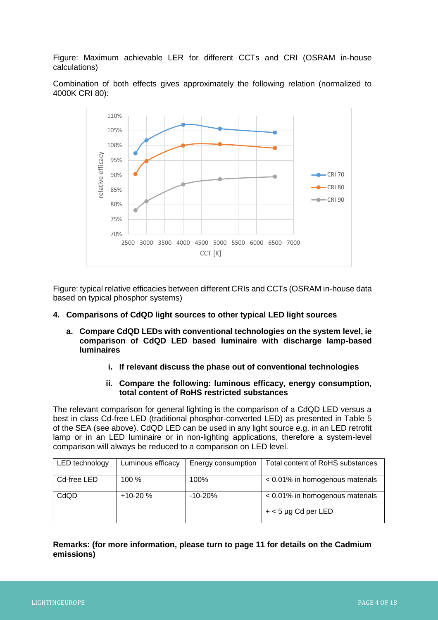Figure: Maximum achievable LER for different CCTs and CRI (OSRAM in-house calculations)

Combination of both effects gives approximately the following relation (normalized to 4000K CRI 80):



Figure: typical relative efficacies between different CRIs and CCTs (OSRAM in-house data based on typical phosphor systems)

#### **4. Comparisons of CdQD light sources to other typical LED light sources**

- **a. Compare CdQD LEDs with conventional technologies on the system level, ie comparison of CdQD LED based luminaire with discharge lamp-based luminaires**
	- **i. If relevant discuss the phase out of conventional technologies**
	- **ii. Compare the following: luminous efficacy, energy consumption, total content of RoHS restricted substances**

The relevant comparison for general lighting is the comparison of a CdQD LED versus a best in class Cd-free LED (traditional phosphor-converted LED) as presented in Table 5 of the SEA (see above). CdQD LED can be used in any light source e.g. in an LED retrofit lamp or in an LED luminaire or in non-lighting applications, therefore a system-level comparison will always be reduced to a comparison on LED level.

| LED technology | Luminous efficacy | Energy consumption | <b>Total content of RoHS substances</b> |
|----------------|-------------------|--------------------|-----------------------------------------|
| Cd-free LED    | $100 \%$          | 100%               | < 0.01% in homogenous materials         |
| CdQD           | $+10-20%$         | $-10-20%$          | < 0.01% in homogenous materials         |
|                |                   |                    | $+$ < 5 µg Cd per LED                   |

# **Remarks: (for more information, please turn to page 11 for details on the Cadmium emissions)**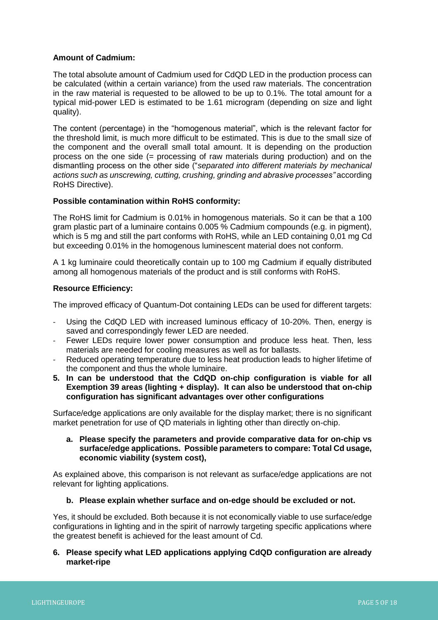# **Amount of Cadmium:**

The total absolute amount of Cadmium used for CdQD LED in the production process can be calculated (within a certain variance) from the used raw materials. The concentration in the raw material is requested to be allowed to be up to 0.1%. The total amount for a typical mid-power LED is estimated to be 1.61 microgram (depending on size and light quality).

The content (percentage) in the "homogenous material", which is the relevant factor for the threshold limit, is much more difficult to be estimated. This is due to the small size of the component and the overall small total amount. It is depending on the production process on the one side (= processing of raw materials during production) and on the dismantling process on the other side ("*separated into different materials by mechanical actions such as unscrewing, cutting, crushing, grinding and abrasive processes"* according RoHS Directive).

# **Possible contamination within RoHS conformity:**

The RoHS limit for Cadmium is 0.01% in homogenous materials. So it can be that a 100 gram plastic part of a luminaire contains 0.005 % Cadmium compounds (e.g. in pigment), which is 5 mg and still the part conforms with RoHS, while an LED containing 0,01 mg Cd but exceeding 0.01% in the homogenous luminescent material does not conform.

A 1 kg luminaire could theoretically contain up to 100 mg Cadmium if equally distributed among all homogenous materials of the product and is still conforms with RoHS.

#### **Resource Efficiency:**

The improved efficacy of Quantum-Dot containing LEDs can be used for different targets:

- Using the CdQD LED with increased luminous efficacy of 10-20%. Then, energy is saved and correspondingly fewer LED are needed.
- Fewer LEDs require lower power consumption and produce less heat. Then, less materials are needed for cooling measures as well as for ballasts.
- Reduced operating temperature due to less heat production leads to higher lifetime of the component and thus the whole luminaire.
- **5. In can be understood that the CdQD on-chip configuration is viable for all Exemption 39 areas (lighting + display). It can also be understood that on-chip configuration has significant advantages over other configurations**

Surface/edge applications are only available for the display market; there is no significant market penetration for use of QD materials in lighting other than directly on-chip.

#### **a. Please specify the parameters and provide comparative data for on-chip vs surface/edge applications. Possible parameters to compare: Total Cd usage, economic viability (system cost),**

As explained above, this comparison is not relevant as surface/edge applications are not relevant for lighting applications.

#### **b. Please explain whether surface and on-edge should be excluded or not.**

Yes, it should be excluded. Both because it is not economically viable to use surface/edge configurations in lighting and in the spirit of narrowly targeting specific applications where the greatest benefit is achieved for the least amount of Cd.

# **6. Please specify what LED applications applying CdQD configuration are already market-ripe**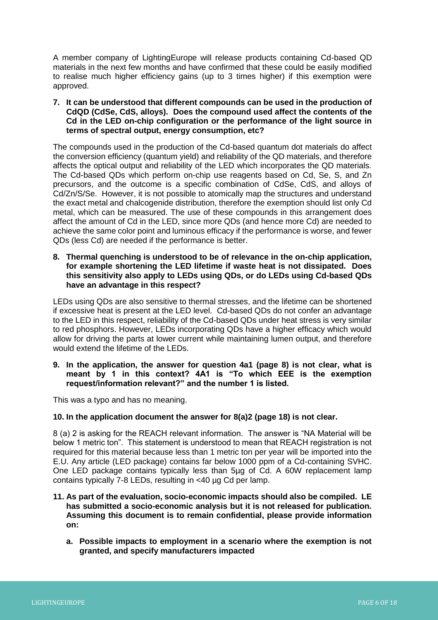A member company of LightingEurope will release products containing Cd-based QD materials in the next few months and have confirmed that these could be easily modified to realise much higher efficiency gains (up to 3 times higher) if this exemption were approved.

**7. It can be understood that different compounds can be used in the production of CdQD (CdSe, CdS, alloys). Does the compound used affect the contents of the Cd in the LED on-chip configuration or the performance of the light source in terms of spectral output, energy consumption, etc?**

The compounds used in the production of the Cd-based quantum dot materials do affect the conversion efficiency (quantum yield) and reliability of the QD materials, and therefore affects the optical output and reliability of the LED which incorporates the QD materials. The Cd-based QDs which perform on-chip use reagents based on Cd, Se, S, and Zn precursors, and the outcome is a specific combination of CdSe, CdS, and alloys of Cd/Zn/S/Se. However, it is not possible to atomically map the structures and understand the exact metal and chalcogenide distribution, therefore the exemption should list only Cd metal, which can be measured. The use of these compounds in this arrangement does affect the amount of Cd in the LED, since more QDs (and hence more Cd) are needed to achieve the same color point and luminous efficacy if the performance is worse, and fewer QDs (less Cd) are needed if the performance is better.

**8. Thermal quenching is understood to be of relevance in the on-chip application, for example shortening the LED lifetime if waste heat is not dissipated. Does this sensitivity also apply to LEDs using QDs, or do LEDs using Cd-based QDs have an advantage in this respect?**

LEDs using QDs are also sensitive to thermal stresses, and the lifetime can be shortened if excessive heat is present at the LED level. Cd-based QDs do not confer an advantage to the LED in this respect, reliability of the Cd-based QDs under heat stress is very similar to red phosphors. However, LEDs incorporating QDs have a higher efficacy which would allow for driving the parts at lower current while maintaining lumen output, and therefore would extend the lifetime of the LEDs.

**9. In the application, the answer for question 4a1 (page 8) is not clear, what is meant by 1 in this context? 4A1 is "To which EEE is the exemption request/information relevant?" and the number 1 is listed.** 

This was a typo and has no meaning.

# **10. In the application document the answer for 8(a)2 (page 18) is not clear.**

8 (a) 2 is asking for the REACH relevant information. The answer is "NA Material will be below 1 metric ton". This statement is understood to mean that REACH registration is not required for this material because less than 1 metric ton per year will be imported into the E.U. Any article (LED package) contains far below 1000 ppm of a Cd-containing SVHC. One LED package contains typically less than 5µg of Cd. A 60W replacement lamp contains typically 7-8 LEDs, resulting in <40 µg Cd per lamp.

- **11. As part of the evaluation, socio-economic impacts should also be compiled. LE has submitted a socio-economic analysis but it is not released for publication. Assuming this document is to remain confidential, please provide information on:**
	- **a. Possible impacts to employment in a scenario where the exemption is not granted, and specify manufacturers impacted**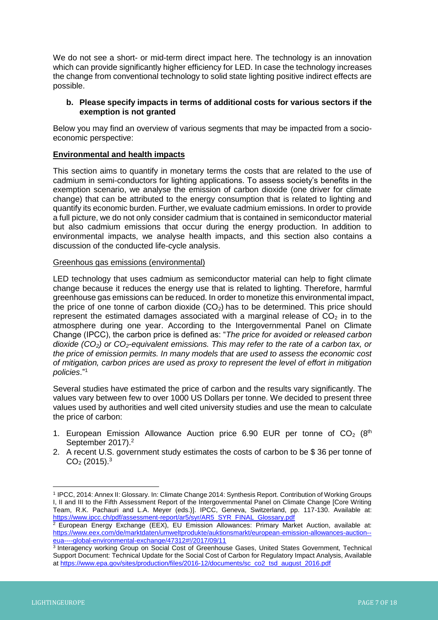We do not see a short- or mid-term direct impact here. The technology is an innovation which can provide significantly higher efficiency for LED. In case the technology increases the change from conventional technology to solid state lighting positive indirect effects are possible.

# **b. Please specify impacts in terms of additional costs for various sectors if the exemption is not granted**

Below you may find an overview of various segments that may be impacted from a socioeconomic perspective:

# **Environmental and health impacts**

This section aims to quantify in monetary terms the costs that are related to the use of cadmium in semi-conductors for lighting applications. To assess society's benefits in the exemption scenario, we analyse the emission of carbon dioxide (one driver for climate change) that can be attributed to the energy consumption that is related to lighting and quantify its economic burden. Further, we evaluate cadmium emissions. In order to provide a full picture, we do not only consider cadmium that is contained in semiconductor material but also cadmium emissions that occur during the energy production. In addition to environmental impacts, we analyse health impacts, and this section also contains a discussion of the conducted life-cycle analysis.

#### Greenhous gas emissions (environmental)

LED technology that uses cadmium as semiconductor material can help to fight climate change because it reduces the energy use that is related to lighting. Therefore, harmful greenhouse gas emissions can be reduced. In order to monetize this environmental impact, the price of one tonne of carbon dioxide  $(CO<sub>2</sub>)$  has to be determined. This price should represent the estimated damages associated with a marginal release of  $CO<sub>2</sub>$  in to the atmosphere during one year. According to the Intergovernmental Panel on Climate Change (IPCC), the carbon price is defined as: "*The price for avoided or released carbon dioxide (CO2) or CO2-equivalent emissions. This may refer to the rate of a carbon tax, or the price of emission permits. In many models that are used to assess the economic cost of mitigation, carbon prices are used as proxy to represent the level of effort in mitigation policies*."<sup>1</sup>

Several studies have estimated the price of carbon and the results vary significantly. The values vary between few to over 1000 US Dollars per tonne. We decided to present three values used by authorities and well cited university studies and use the mean to calculate the price of carbon:

- 1. European Emission Allowance Auction price 6.90 EUR per tonne of  $CO<sub>2</sub>$  (8<sup>th</sup>) September 2017).<sup>2</sup>
- 2. A recent U.S. government study estimates the costs of carbon to be \$ 36 per tonne of  $CO<sub>2</sub>$  (2015).<sup>3</sup>

<sup>1</sup> IPCC, 2014: Annex II: Glossary. In: Climate Change 2014: Synthesis Report. Contribution of Working Groups I, II and III to the Fifth Assessment Report of the Intergovernmental Panel on Climate Change [Core Writing Team, R.K. Pachauri and L.A. Meyer (eds.)]. IPCC, Geneva, Switzerland, pp. 117-130. Available at: [https://www.ipcc.ch/pdf/assessment-report/ar5/syr/AR5\\_SYR\\_FINAL\\_Glossary.pdf](https://www.ipcc.ch/pdf/assessment-report/ar5/syr/AR5_SYR_FINAL_Glossary.pdf)

<sup>&</sup>lt;sup>2</sup> European Energy Exchange (EEX), EU Emission Allowances: Primary Market Auction, available at: [https://www.eex.com/de/marktdaten/umweltprodukte/auktionsmarkt/european-emission-allowances-auction-](https://www.eex.com/de/marktdaten/umweltprodukte/auktionsmarkt/european-emission-allowances-auction--eua----global-environmental-exchange/47312#!/2017/09/11) [eua----global-environmental-exchange/47312#!/2017/09/11](https://www.eex.com/de/marktdaten/umweltprodukte/auktionsmarkt/european-emission-allowances-auction--eua----global-environmental-exchange/47312#!/2017/09/11)

<sup>3</sup> Interagency working Group on Social Cost of Greenhouse Gases, United States Government, Technical Support Document: Technical Update for the Social Cost of Carbon for Regulatory Impact Analysis, Available at [https://www.epa.gov/sites/production/files/2016-12/documents/sc\\_co2\\_tsd\\_august\\_2016.pdf](https://www.epa.gov/sites/production/files/2016-12/documents/sc_co2_tsd_august_2016.pdf)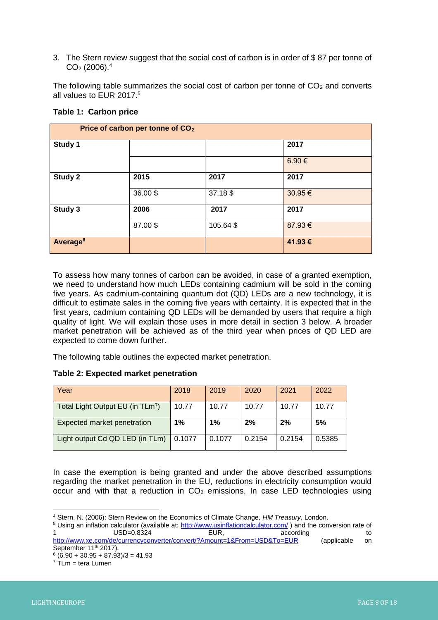3. The Stern review suggest that the social cost of carbon is in order of \$ 87 per tonne of  $CO<sub>2</sub>$  (2006).<sup>4</sup>

The following table summarizes the social cost of carbon per tonne of  $CO<sub>2</sub>$  and converts all values to EUR 2017.<sup>5</sup>

#### **Table 1: Carbon price**

| Price of carbon per tonne of CO <sub>2</sub> |         |           |        |  |
|----------------------------------------------|---------|-----------|--------|--|
| Study 1                                      |         |           | 2017   |  |
|                                              |         |           | 6.90€  |  |
| Study 2                                      | 2015    | 2017      | 2017   |  |
|                                              | 36.00\$ | 37.18 \$  | 30.95€ |  |
| Study 3                                      | 2006    | 2017      | 2017   |  |
|                                              | 87.00\$ | 105.64 \$ | 87.93€ |  |
| Average <sup>6</sup>                         |         |           | 41.93€ |  |

To assess how many tonnes of carbon can be avoided, in case of a granted exemption, we need to understand how much LEDs containing cadmium will be sold in the coming five years. As cadmium-containing quantum dot (QD) LEDs are a new technology, it is difficult to estimate sales in the coming five years with certainty. It is expected that in the first years, cadmium containing QD LEDs will be demanded by users that require a high quality of light. We will explain those uses in more detail in section 3 below. A broader market penetration will be achieved as of the third year when prices of QD LED are expected to come down further.

The following table outlines the expected market penetration.

# **Table 2: Expected market penetration**

| Year                                         | 2018   | 2019   | 2020   | 2021   | 2022      |
|----------------------------------------------|--------|--------|--------|--------|-----------|
| Total Light Output EU (in TLm <sup>7</sup> ) | 10.77  | 10.77  | 10.77  | 10.77  | 10.77     |
| Expected market penetration                  | 1%     | 1%     | 2%     | 2%     | <b>5%</b> |
| Light output Cd QD LED (in TLm)              | 0.1077 | 0.1077 | 0.2154 | 0.2154 | 0.5385    |

In case the exemption is being granted and under the above described assumptions regarding the market penetration in the EU, reductions in electricity consumption would occur and with that a reduction in  $CO<sub>2</sub>$  emissions. In case LED technologies using

 $\overline{a}$ <sup>4</sup> Stern, N. (2006): Stern Review on the Economics of Climate Change, *HM Treasury*, London.

<sup>5</sup> Using an inflation calculator (available at:<http://www.usinflationcalculator.com/> ) and the conversion rate of USD=0.8324 EUR, according to to <http://www.xe.com/de/currencyconverter/convert/?Amount=1&From=USD&To=EUR>(applicable on September 11<sup>th</sup> 2017).

 $6(6.90 + 30.95 + 87.93)/3 = 41.93$ 

 $7$  TLm = tera Lumen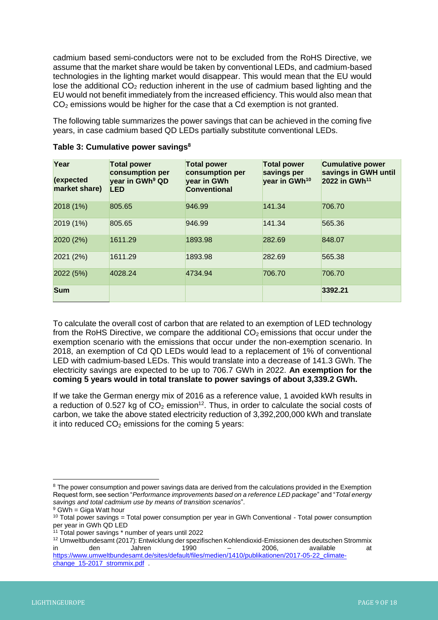cadmium based semi-conductors were not to be excluded from the RoHS Directive, we assume that the market share would be taken by conventional LEDs, and cadmium-based technologies in the lighting market would disappear. This would mean that the EU would lose the additional  $CO<sub>2</sub>$  reduction inherent in the use of cadmium based lighting and the EU would not benefit immediately from the increased efficiency. This would also mean that  $CO<sub>2</sub>$  emissions would be higher for the case that a Cd exemption is not granted.

The following table summarizes the power savings that can be achieved in the coming five years, in case cadmium based QD LEDs partially substitute conventional LEDs.

| Year<br>(expected<br>market share) | <b>Total power</b><br>consumption per<br>year in GWh <sup>9</sup> QD<br><b>LED</b> | <b>Total power</b><br>consumption per<br>year in GWh<br><b>Conventional</b> | <b>Total power</b><br>savings per<br>year in GWh <sup>10</sup> | <b>Cumulative power</b><br>savings in GWH until<br>2022 in GWh <sup>11</sup> |
|------------------------------------|------------------------------------------------------------------------------------|-----------------------------------------------------------------------------|----------------------------------------------------------------|------------------------------------------------------------------------------|
| 2018 (1%)                          | 805.65                                                                             | 946.99                                                                      | 141.34                                                         | 706.70                                                                       |
| 2019 (1%)                          | 805.65                                                                             | 946.99                                                                      | 141.34                                                         | 565.36                                                                       |
| 2020 (2%)                          | 1611.29                                                                            | 1893.98                                                                     | 282.69                                                         | 848.07                                                                       |
| 2021 (2%)                          | 1611.29                                                                            | 1893.98                                                                     | 282.69                                                         | 565.38                                                                       |
| 2022 (5%)                          | 4028.24                                                                            | 4734.94                                                                     | 706.70                                                         | 706.70                                                                       |
| <b>Sum</b>                         |                                                                                    |                                                                             |                                                                | 3392.21                                                                      |

**Table 3: Cumulative power savings<sup>8</sup>**

To calculate the overall cost of carbon that are related to an exemption of LED technology from the RoHS Directive, we compare the additional  $CO<sub>2</sub>$  emissions that occur under the exemption scenario with the emissions that occur under the non-exemption scenario. In 2018, an exemption of Cd QD LEDs would lead to a replacement of 1% of conventional LED with cadmium-based LEDs. This would translate into a decrease of 141.3 GWh. The electricity savings are expected to be up to 706.7 GWh in 2022. **An exemption for the coming 5 years would in total translate to power savings of about 3,339.2 GWh.**

If we take the German energy mix of 2016 as a reference value, 1 avoided kWh results in a reduction of 0.527 kg of  $CO<sub>2</sub>$  emission<sup>12</sup>. Thus, in order to calculate the social costs of carbon, we take the above stated electricity reduction of 3,392,200,000 kWh and translate it into reduced  $CO<sub>2</sub>$  emissions for the coming 5 years:

<sup>12</sup> Umweltbundesamt (2017): Entwicklung der spezifischen Kohlendioxid-Emissionen des deutschen Strommix in den Jahren 1990 – 2006, available at

<sup>&</sup>lt;sup>8</sup> The power consumption and power savings data are derived from the calculations provided in the Exemption Request form, see section "*Performance improvements based on a reference LED package*" and "*Total energy savings and total cadmium use by means of transition scenarios*".

 $9$  GWh = Giga Watt hour

<sup>&</sup>lt;sup>10</sup> Total power savings = Total power consumption per year in GWh Conventional - Total power consumption per year in GWh QD LED

<sup>&</sup>lt;sup>11</sup> Total power savings \* number of years until 2022

[https://www.umweltbundesamt.de/sites/default/files/medien/1410/publikationen/2017-05-22\\_climate](https://www.umweltbundesamt.de/sites/default/files/medien/1410/publikationen/2017-05-22_climate-change_15-2017_strommix.pdf)change\_15-2017\_strommix.pdf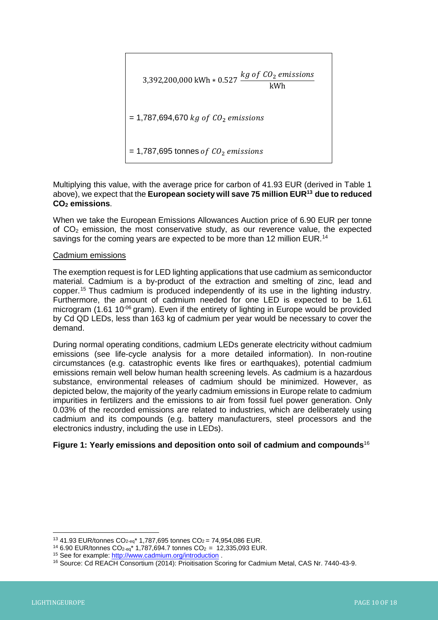

Multiplying this value, with the average price for carbon of 41.93 EUR (derived in Table 1 above), we expect that the **European society will save 75 million EUR<sup>13</sup> due to reduced CO<sup>2</sup> emissions**.

When we take the European Emissions Allowances Auction price of 6.90 EUR per tonne of  $CO<sub>2</sub>$  emission, the most conservative study, as our reverence value, the expected savings for the coming years are expected to be more than 12 million EUR.<sup>14</sup>

# Cadmium emissions

The exemption request is for LED lighting applications that use cadmium as semiconductor material. Cadmium is a by-product of the extraction and smelting of zinc, lead and copper.<sup>15</sup> Thus cadmium is produced independently of its use in the lighting industry. Furthermore, the amount of cadmium needed for one LED is expected to be 1.61 microgram (1.61 10 $<sup>06</sup>$  gram). Even if the entirety of lighting in Europe would be provided</sup> by Cd QD LEDs, less than 163 kg of cadmium per year would be necessary to cover the demand.

During normal operating conditions, cadmium LEDs generate electricity without cadmium emissions (see life-cycle analysis for a more detailed information). In non-routine circumstances (e.g. catastrophic events like fires or earthquakes), potential cadmium emissions remain well below human health screening levels. As cadmium is a hazardous substance, environmental releases of cadmium should be minimized. However, as depicted below, the majority of the yearly cadmium emissions in Europe relate to cadmium impurities in fertilizers and the emissions to air from fossil fuel power generation. Only 0.03% of the recorded emissions are related to industries, which are deliberately using cadmium and its compounds (e.g. battery manufacturers, steel processors and the electronics industry, including the use in LEDs).

# **Figure 1: Yearly emissions and deposition onto soil of cadmium and compounds**<sup>16</sup>

 $13$  41.93 EUR/tonnes CO<sub>2-eq</sub>\* 1,787,695 tonnes CO<sub>2</sub> = 74,954,086 EUR.

<sup>&</sup>lt;sup>14</sup> 6.90 EUR/tonnes CO<sub>2-eq</sub>\* 1,787,694.7 tonnes CO<sub>2</sub> = 12,335,093 EUR.

<sup>&</sup>lt;sup>15</sup> See for example[: http://www.cadmium.org/introduction](http://www.cadmium.org/introduction).

<sup>16</sup> Source: Cd REACH Consortium (2014): Prioitisation Scoring for Cadmium Metal, CAS Nr. 7440-43-9.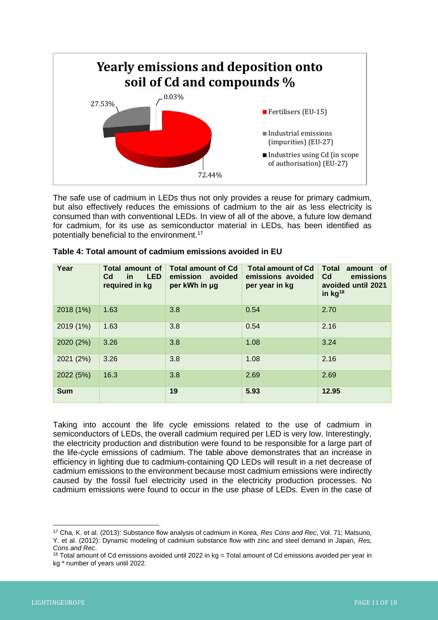

The safe use of cadmium in LEDs thus not only provides a reuse for primary cadmium, but also effectively reduces the emissions of cadmium to the air as less electricity is consumed than with conventional LEDs. In view of all of the above, a future low demand for cadmium, for its use as semiconductor material in LEDs, has been identified as potentially beneficial to the environment.<sup>17</sup>

| Year       | Total amount of<br><b>LED</b><br>C <sub>d</sub><br><u>in</u><br>required in kg | <b>Total amount of Cd</b><br>emission avoided<br>per kWh in µg | <b>Total amount of Cd</b><br>emissions avoided<br>per year in kg | <b>Total</b><br>amount of<br>C <sub>d</sub><br>emissions<br>avoided until 2021<br>in $kg^{18}$ |
|------------|--------------------------------------------------------------------------------|----------------------------------------------------------------|------------------------------------------------------------------|------------------------------------------------------------------------------------------------|
| 2018 (1%)  | 1.63                                                                           | 3.8                                                            | 0.54                                                             | 2.70                                                                                           |
| 2019 (1%)  | 1.63                                                                           | 3.8                                                            | 0.54                                                             | 2.16                                                                                           |
| 2020 (2%)  | 3.26                                                                           | 3.8                                                            | 1.08                                                             | 3.24                                                                                           |
| 2021 (2%)  | 3.26                                                                           | 3.8                                                            | 1.08                                                             | 2.16                                                                                           |
| 2022 (5%)  | 16.3                                                                           | 3.8                                                            | 2.69                                                             | 2.69                                                                                           |
| <b>Sum</b> |                                                                                | 19                                                             | 5.93                                                             | 12.95                                                                                          |

| Table 4: Total amount of cadmium emissions avoided in EU |  |  |
|----------------------------------------------------------|--|--|
|----------------------------------------------------------|--|--|

Taking into account the life cycle emissions related to the use of cadmium in semiconductors of LEDs, the overall cadmium required per LED is very low. Interestingly, the electricity production and distribution were found to be responsible for a large part of the life-cycle emissions of cadmium. The table above demonstrates that an increase in efficiency in lighting due to cadmium-containing QD LEDs will result in a net decrease of cadmium emissions to the environment because most cadmium emissions were indirectly caused by the fossil fuel electricity used in the electricity production processes. No cadmium emissions were found to occur in the use phase of LEDs. Even in the case of

 $\overline{a}$ <sup>17</sup> Cha, K. et al. (2013): Substance flow analysis of cadmium in Korea, *Res Cons and Rec*, Vol. 71; Matsuno, Y. et al. (2012): Dynamic modeling of cadmium substance flow with zinc and steel demand in Japan, *Res, Cons and Rec*.

 $18$  Total amount of Cd emissions avoided until 2022 in kg = Total amount of Cd emissions avoided per year in kg \* number of years until 2022.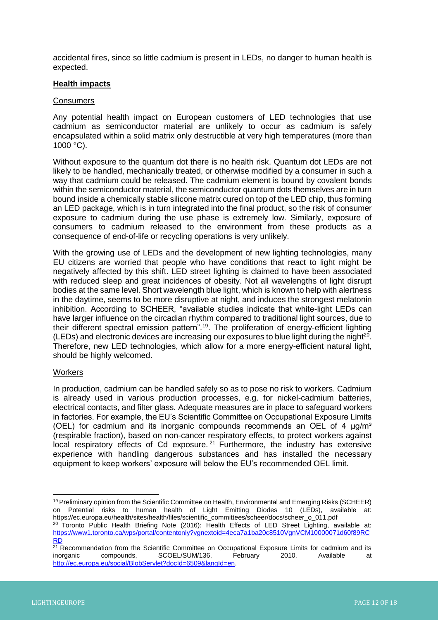accidental fires, since so little cadmium is present in LEDs, no danger to human health is expected.

#### **Health impacts**

#### **Consumers**

Any potential health impact on European customers of LED technologies that use cadmium as semiconductor material are unlikely to occur as cadmium is safely encapsulated within a solid matrix only destructible at very high temperatures (more than 1000 °C).

Without exposure to the quantum dot there is no health risk. Quantum dot LEDs are not likely to be handled, mechanically treated, or otherwise modified by a consumer in such a way that cadmium could be released. The cadmium element is bound by covalent bonds within the semiconductor material, the semiconductor quantum dots themselves are in turn bound inside a chemically stable silicone matrix cured on top of the LED chip, thus forming an LED package, which is in turn integrated into the final product, so the risk of consumer exposure to cadmium during the use phase is extremely low. Similarly, exposure of consumers to cadmium released to the environment from these products as a consequence of end-of-life or recycling operations is very unlikely.

With the growing use of LEDs and the development of new lighting technologies, many EU citizens are worried that people who have conditions that react to light might be negatively affected by this shift. LED street lighting is claimed to have been associated with reduced sleep and great incidences of obesity. Not all wavelengths of light disrupt bodies at the same level. Short wavelength blue light, which is known to help with alertness in the daytime, seems to be more disruptive at night, and induces the strongest melatonin inhibition. According to SCHEER, "available studies indicate that white-light LEDs can have larger influence on the circadian rhythm compared to traditional light sources, due to their different spectral emission pattern".<sup>19</sup>. The proliferation of energy-efficient lighting (LEDs) and electronic devices are increasing our exposures to blue light during the night $^{20}$ . Therefore, new LED technologies, which allow for a more energy-efficient natural light, should be highly welcomed.

#### **Workers**

In production, cadmium can be handled safely so as to pose no risk to workers. Cadmium is already used in various production processes, e.g. for nickel-cadmium batteries, electrical contacts, and filter glass. Adequate measures are in place to safeguard workers in factories. For example, the EU's Scientific Committee on Occupational Exposure Limits (OEL) for cadmium and its inorganic compounds recommends an OEL of 4  $\mu q/m<sup>3</sup>$ (respirable fraction), based on non-cancer respiratory effects, to protect workers against local respiratory effects of Cd exposure.<sup>21</sup> Furthermore, the industry has extensive experience with handling dangerous substances and has installed the necessary equipment to keep workers' exposure will below the EU's recommended OEL limit.

<sup>&</sup>lt;sup>19</sup> Preliminary opinion from the Scientific Committee on Health, Environmental and Emerging Risks (SCHEER) on Potential risks to human health of Light Emitting Diodes 10 (LEDs), available at: https://ec.europa.eu/health/sites/health/files/scientific\_committees/scheer/docs/scheer\_o\_011.pdf

<sup>&</sup>lt;sup>20</sup> Toronto Public Health Briefing Note (2016): Health Effects of LED Street Lighting, available at: [https://www1.toronto.ca/wps/portal/contentonly?vgnextoid=4eca7a1ba20c8510VgnVCM10000071d60f89RC](https://www1.toronto.ca/wps/portal/contentonly?vgnextoid=4eca7a1ba20c8510VgnVCM10000071d60f89RCRD) [RD](https://www1.toronto.ca/wps/portal/contentonly?vgnextoid=4eca7a1ba20c8510VgnVCM10000071d60f89RCRD)

 $21$  Recommendation from the Scientific Committee on Occupational Exposure Limits for cadmium and its inorganic compounds, SCOEL/SUM/136, February 2010. Available at [http://ec.europa.eu/social/BlobServlet?docId=6509&langId=en.](http://ec.europa.eu/social/BlobServlet?docId=6509&langId=en)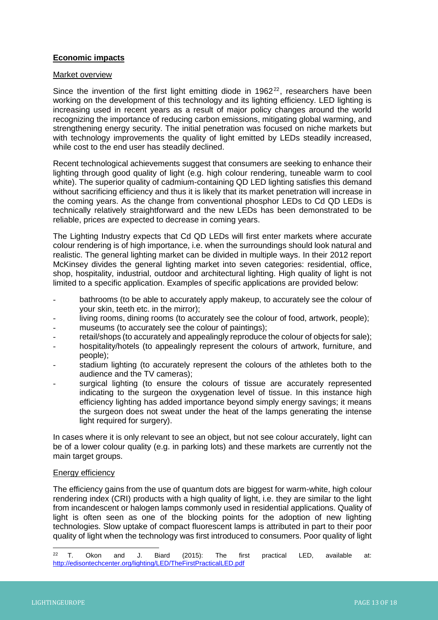# **Economic impacts**

#### Market overview

Since the invention of the first light emitting diode in  $1962^{22}$ , researchers have been working on the development of this technology and its lighting efficiency. LED lighting is increasing used in recent years as a result of major policy changes around the world recognizing the importance of reducing carbon emissions, mitigating global warming, and strengthening energy security. The initial penetration was focused on niche markets but with technology improvements the quality of light emitted by LEDs steadily increased, while cost to the end user has steadily declined.

Recent technological achievements suggest that consumers are seeking to enhance their lighting through good quality of light (e.g. high colour rendering, tuneable warm to cool white). The superior quality of cadmium-containing QD LED lighting satisfies this demand without sacrificing efficiency and thus it is likely that its market penetration will increase in the coming years. As the change from conventional phosphor LEDs to Cd QD LEDs is technically relatively straightforward and the new LEDs has been demonstrated to be reliable, prices are expected to decrease in coming years.

The Lighting Industry expects that Cd QD LEDs will first enter markets where accurate colour rendering is of high importance, i.e. when the surroundings should look natural and realistic. The general lighting market can be divided in multiple ways. In their 2012 report McKinsey divides the general lighting market into seven categories: residential, office, shop, hospitality, industrial, outdoor and architectural lighting. High quality of light is not limited to a specific application. Examples of specific applications are provided below:

- bathrooms (to be able to accurately apply makeup, to accurately see the colour of your skin, teeth etc. in the mirror);
- living rooms, dining rooms (to accurately see the colour of food, artwork, people);
- museums (to accurately see the colour of paintings);
- retail/shops (to accurately and appealingly reproduce the colour of objects for sale);
- hospitality/hotels (to appealingly represent the colours of artwork, furniture, and people);
- stadium lighting (to accurately represent the colours of the athletes both to the audience and the TV cameras);
- surgical lighting (to ensure the colours of tissue are accurately represented indicating to the surgeon the oxygenation level of tissue. In this instance high efficiency lighting has added importance beyond simply energy savings; it means the surgeon does not sweat under the heat of the lamps generating the intense light required for surgery).

In cases where it is only relevant to see an object, but not see colour accurately, light can be of a lower colour quality (e.g. in parking lots) and these markets are currently not the main target groups.

#### Energy efficiency

The efficiency gains from the use of quantum dots are biggest for warm-white, high colour rendering index (CRI) products with a high quality of light, i.e. they are similar to the light from incandescent or halogen lamps commonly used in residential applications. Quality of light is often seen as one of the blocking points for the adoption of new lighting technologies. Slow uptake of compact fluorescent lamps is attributed in part to their poor quality of light when the technology was first introduced to consumers. Poor quality of light

 $22$  T. Okon and J. Biard (2015): The first practical LED, available at: <http://edisontechcenter.org/lighting/LED/TheFirstPracticalLED.pdf>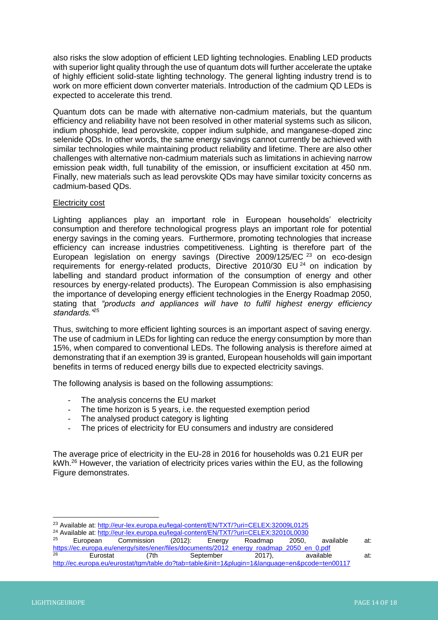also risks the slow adoption of efficient LED lighting technologies. Enabling LED products with superior light quality through the use of quantum dots will further accelerate the uptake of highly efficient solid-state lighting technology. The general lighting industry trend is to work on more efficient down converter materials. Introduction of the cadmium QD LEDs is expected to accelerate this trend.

Quantum dots can be made with alternative non-cadmium materials, but the quantum efficiency and reliability have not been resolved in other material systems such as silicon, indium phosphide, lead perovskite, copper indium sulphide, and manganese-doped zinc selenide QDs. In other words, the same energy savings cannot currently be achieved with similar technologies while maintaining product reliability and lifetime. There are also other challenges with alternative non-cadmium materials such as limitations in achieving narrow emission peak width, full tunability of the emission, or insufficient excitation at 450 nm. Finally, new materials such as lead perovskite QDs may have similar toxicity concerns as cadmium-based QDs.

#### Electricity cost

Lighting appliances play an important role in European households' electricity consumption and therefore technological progress plays an important role for potential energy savings in the coming years. Furthermore, promoting technologies that increase efficiency can increase industries competitiveness. Lighting is therefore part of the European legislation on energy savings (Directive 2009/125/EC <sup>23</sup> on eco-design requirements for energy-related products, Directive 2010/30 EU <sup>24</sup> on indication by labelling and standard product information of the consumption of energy and other resources by energy-related products). The European Commission is also emphasising the importance of developing energy efficient technologies in the Energy Roadmap 2050, stating that *"products and appliances will have to fulfil highest energy efficiency standards."<sup>25</sup>*

Thus, switching to more efficient lighting sources is an important aspect of saving energy. The use of cadmium in LEDs for lighting can reduce the energy consumption by more than 15%, when compared to conventional LEDs. The following analysis is therefore aimed at demonstrating that if an exemption 39 is granted, European households will gain important benefits in terms of reduced energy bills due to expected electricity savings.

The following analysis is based on the following assumptions:

- The analysis concerns the EU market
- The time horizon is 5 years, i.e. the requested exemption period
- The analysed product category is lighting
- The prices of electricity for EU consumers and industry are considered

The average price of electricity in the EU-28 in 2016 for households was 0.21 EUR per kWh.<sup>26</sup> However, the variation of electricity prices varies within the EU, as the following Figure demonstrates.

<sup>&</sup>lt;sup>23</sup> Available at: <u>http://eur-lex.europa.eu/legal-content/EN/TXT/?uri=CELEX:32009L0125</u>

<sup>&</sup>lt;sup>24</sup> Available at[: http://eur-lex.europa.eu/legal-content/EN/TXT/?uri=CELEX:32010L0030](http://eur-lex.europa.eu/legal-content/EN/TXT/?uri=CELEX:32010L0030)<br><sup>25</sup> European Commission (2012): Energy Roadman 2050

<sup>25</sup> European Commission (2012): Energy Roadmap 2050, available at: [https://ec.europa.eu/energy/sites/ener/files/documents/2012\\_energy\\_roadmap\\_2050\\_en\\_0.pdf](https://ec.europa.eu/energy/sites/ener/files/documents/2012_energy_roadmap_2050_en_0.pdf) <sup>26</sup> Eurostat (7th September 2017), available at: <http://ec.europa.eu/eurostat/tgm/table.do?tab=table&init=1&plugin=1&language=en&pcode=ten00117>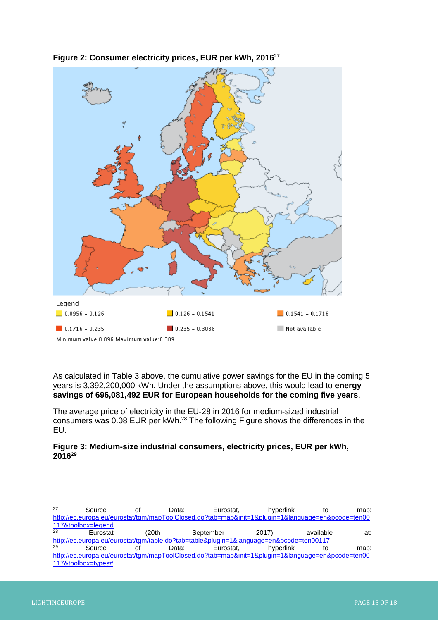

**Figure 2: Consumer electricity prices, EUR per kWh, 2016**<sup>27</sup>

As calculated in Table 3 above, the cumulative power savings for the EU in the coming 5 years is 3,392,200,000 kWh. Under the assumptions above, this would lead to **energy savings of 696,081,492 EUR for European households for the coming five years**.

The average price of electricity in the EU-28 in 2016 for medium-sized industrial consumers was 0.08 EUR per kWh.<sup>28</sup> The following Figure shows the differences in the EU.

# **Figure 3: Medium-size industrial consumers, electricity prices, EUR per kWh, 2016<sup>29</sup>**

| 27 | Source             | οt     | Data: | Eurostat. | hvperlink                                                                                         | to        | map: |
|----|--------------------|--------|-------|-----------|---------------------------------------------------------------------------------------------------|-----------|------|
|    |                    |        |       |           | http://ec.europa.eu/eurostat/tgm/mapToolClosed.do?tab=map&init=1&plugin=1&language=en&pcode=ten00 |           |      |
|    | 117&toolbox=legend |        |       |           |                                                                                                   |           |      |
| 28 | Eurostat           | (20th) |       | September | $2017$ ).                                                                                         | available | at:  |
|    |                    |        |       |           | http://ec.europa.eu/eurostat/tgm/table.do?tab=table&plugin=1&language=en&pcode=ten00117           |           |      |
| 29 | Source             | οf     | Data: | Eurostat. | hyperlink                                                                                         | to        | map: |
|    |                    |        |       |           | http://ec.europa.eu/eurostat/tgm/mapToolClosed.do?tab=map&init=1&plugin=1&language=en&pcode=ten00 |           |      |
|    | 117&toolbox=types# |        |       |           |                                                                                                   |           |      |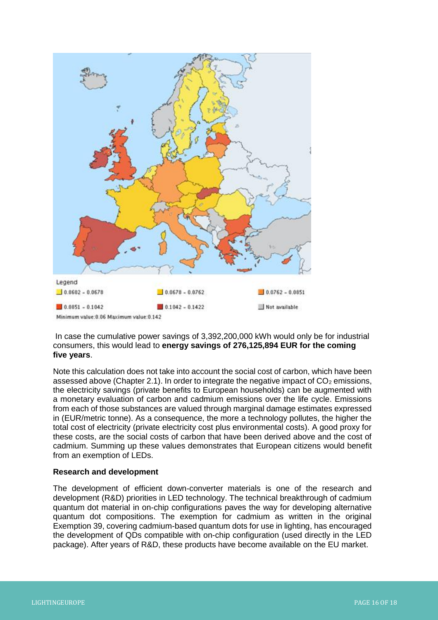

In case the cumulative power savings of 3,392,200,000 kWh would only be for industrial consumers, this would lead to **energy savings of 276,125,894 EUR for the coming five years**.

Note this calculation does not take into account the social cost of carbon, which have been assessed above (Chapter 2.1). In order to integrate the negative impact of  $CO<sub>2</sub>$  emissions, the electricity savings (private benefits to European households) can be augmented with a monetary evaluation of carbon and cadmium emissions over the life cycle. Emissions from each of those substances are valued through marginal damage estimates expressed in (EUR/metric tonne). As a consequence, the more a technology pollutes, the higher the total cost of electricity (private electricity cost plus environmental costs). A good proxy for these costs, are the social costs of carbon that have been derived above and the cost of cadmium. Summing up these values demonstrates that European citizens would benefit from an exemption of LEDs.

#### **Research and development**

The development of efficient down-converter materials is one of the research and development (R&D) priorities in LED technology. The technical breakthrough of cadmium quantum dot material in on-chip configurations paves the way for developing alternative quantum dot compositions. The exemption for cadmium as written in the original Exemption 39, covering cadmium-based quantum dots for use in lighting, has encouraged the development of QDs compatible with on-chip configuration (used directly in the LED package). After years of R&D, these products have become available on the EU market.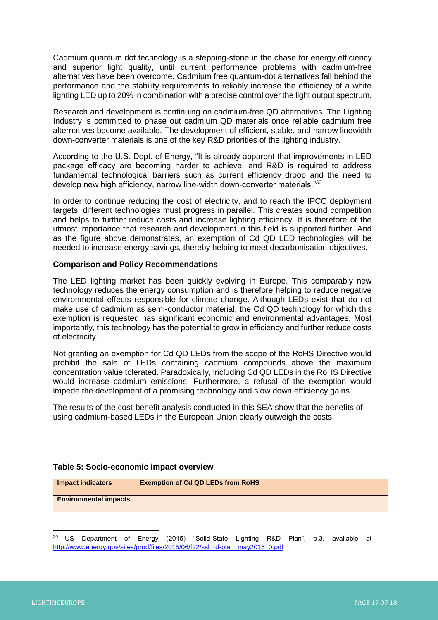Cadmium quantum dot technology is a stepping-stone in the chase for energy efficiency and superior light quality, until current performance problems with cadmium-free alternatives have been overcome. Cadmium free quantum-dot alternatives fall behind the performance and the stability requirements to reliably increase the efficiency of a white lighting LED up to 20% in combination with a precise control over the light output spectrum.

Research and development is continuing on cadmium-free QD alternatives. The Lighting Industry is committed to phase out cadmium QD materials once reliable cadmium free alternatives become available. The development of efficient, stable, and narrow linewidth down-converter materials is one of the key R&D priorities of the lighting industry.

According to the U.S. Dept. of Energy, "It is already apparent that improvements in LED package efficacy are becoming harder to achieve, and R&D is required to address fundamental technological barriers such as current efficiency droop and the need to develop new high efficiency, narrow line-width down-converter materials."<sup>30</sup>

In order to continue reducing the cost of electricity, and to reach the IPCC deployment targets, different technologies must progress in parallel. This creates sound competition and helps to further reduce costs and increase lighting efficiency. It is therefore of the utmost importance that research and development in this field is supported further. And as the figure above demonstrates, an exemption of Cd QD LED technologies will be needed to increase energy savings, thereby helping to meet decarbonisation objectives.

# **Comparison and Policy Recommendations**

The LED lighting market has been quickly evolving in Europe. This comparably new technology reduces the energy consumption and is therefore helping to reduce negative environmental effects responsible for climate change. Although LEDs exist that do not make use of cadmium as semi-conductor material, the Cd QD technology for which this exemption is requested has significant economic and environmental advantages. Most importantly, this technology has the potential to grow in efficiency and further reduce costs of electricity.

Not granting an exemption for Cd QD LEDs from the scope of the RoHS Directive would prohibit the sale of LEDs containing cadmium compounds above the maximum concentration value tolerated. Paradoxically, including Cd QD LEDs in the RoHS Directive would increase cadmium emissions. Furthermore, a refusal of the exemption would impede the development of a promising technology and slow down efficiency gains.

The results of the cost-benefit analysis conducted in this SEA show that the benefits of using cadmium-based LEDs in the European Union clearly outweigh the costs.

#### **Table 5: Socio-economic impact overview**

| Impact indicators            | <b>Exemption of Cd QD LEDs from RoHS</b> |
|------------------------------|------------------------------------------|
| <b>Environmental impacts</b> |                                          |

 $30$  US Department of Energy (2015) "Solid-State Lighting R&D Plan", p.3, available at [http://www.energy.gov/sites/prod/files/2015/06/f22/ssl\\_rd-plan\\_may2015\\_0.pdf](http://www.energy.gov/sites/prod/files/2015/06/f22/ssl_rd-plan_may2015_0.pdf)